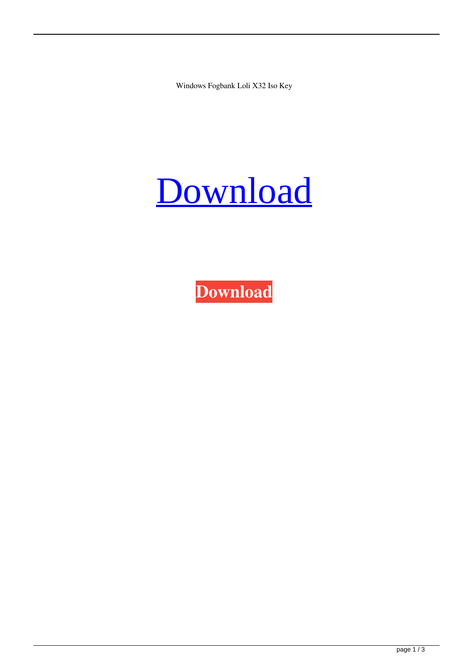Windows Fogbank Loli X32 Iso Key

## Download

Download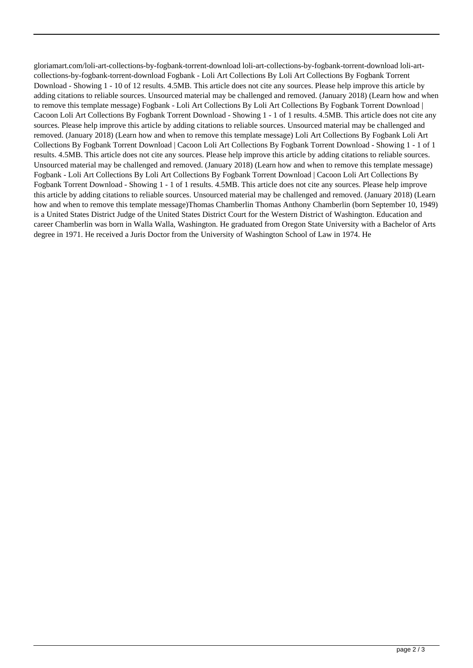gloriamart.com/loli-art-collections-by-fogbank-torrent-download loli-art-collections-by-fogbank-torrent-download loli-artcollections-by-fogbank-torrent-download Fogbank - Loli Art Collections By Loli Art Collections By Fogbank Torrent Download - Showing 1 - 10 of 12 results. 4.5MB. This article does not cite any sources. Please help improve this article by adding citations to reliable sources. Unsourced material may be challenged and removed. (January 2018) (Learn how and when to remove this template message) Fogbank - Loli Art Collections By Loli Art Collections By Fogbank Torrent Download | Cacoon Loli Art Collections By Fogbank Torrent Download - Showing 1 - 1 of 1 results. 4.5MB. This article does not cite any sources. Please help improve this article by adding citations to reliable sources. Unsourced material may be challenged and removed. (January 2018) (Learn how and when to remove this template message) Loli Art Collections By Fogbank Loli Art Collections By Fogbank Torrent Download | Cacoon Loli Art Collections By Fogbank Torrent Download - Showing 1 - 1 of 1 results. 4.5MB. This article does not cite any sources. Please help improve this article by adding citations to reliable sources. Unsourced material may be challenged and removed. (January 2018) (Learn how and when to remove this template message) Fogbank - Loli Art Collections By Loli Art Collections By Fogbank Torrent Download | Cacoon Loli Art Collections By Fogbank Torrent Download - Showing 1 - 1 of 1 results. 4.5MB. This article does not cite any sources. Please help improve this article by adding citations to reliable sources. Unsourced material may be challenged and removed. (January 2018) (Learn how and when to remove this template message)Thomas Chamberlin Thomas Anthony Chamberlin (born September 10, 1949) is a United States District Judge of the United States District Court for the Western District of Washington. Education and career Chamberlin was born in Walla Walla, Washington. He graduated from Oregon State University with a Bachelor of Arts degree in 1971. He received a Juris Doctor from the University of Washington School of Law in 1974. He